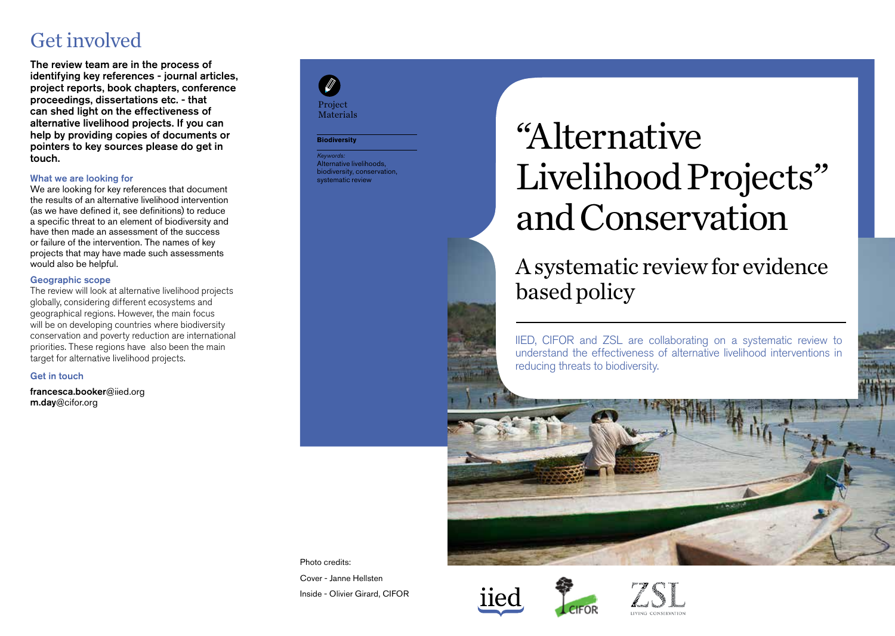### Get involved

The review team are in the process of identifying key references - journal articles, project reports, book chapters, conference proceedings, dissertations etc. - that can shed light on the effectiveness of alternative livelihood projects. If you can help by providing copies of documents or pointers to key sources please do get in touch.

#### What we are looking for

We are looking for key references that document the results of an alternative livelihood intervention (as we have defined it, see definitions) to reduce a specific threat to an element of biodiversity and have then made an assessment of the success or failure of the intervention. The names of key projects that may have made such assessments would also be helpful.

#### Geographic scope

The review will look at alternative livelihood projects globally, considering different ecosystems and geographical regions. However, the main focus will be on developing countries where biodiversity conservation and poverty reduction are international priorities. These regions have also been the main target for alternative livelihood projects.

#### Get in touch

francesca.booker@iied.org m.day@cifor.org

### Project Materials

#### **Biodiversity**

*Keywords:* Alternative livelihoods. biodiversity, conservation, systematic review

# "Alternative Livelihood Projects" and Conservation

### A systematic review for evidence based policy

IIED, CIFOR and ZSL are collaborating on a systematic review to understand the effectiveness of alternative livelihood interventions in reducing threats to biodiversity.



Photo credits: Cover - Janne Hellsten Inside - Olivier Girard, CIFOR